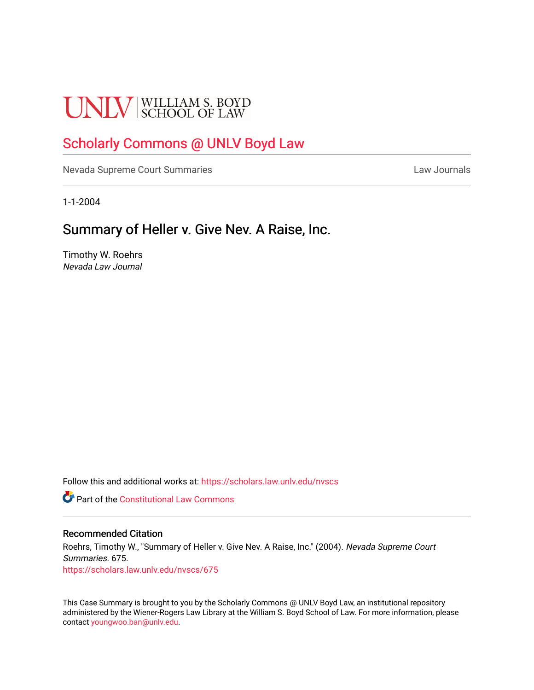# **UNLV** SCHOOL OF LAW

## [Scholarly Commons @ UNLV Boyd Law](https://scholars.law.unlv.edu/)

[Nevada Supreme Court Summaries](https://scholars.law.unlv.edu/nvscs) **Law Journals** Law Journals

1-1-2004

## Summary of Heller v. Give Nev. A Raise, Inc.

Timothy W. Roehrs Nevada Law Journal

Follow this and additional works at: [https://scholars.law.unlv.edu/nvscs](https://scholars.law.unlv.edu/nvscs?utm_source=scholars.law.unlv.edu%2Fnvscs%2F675&utm_medium=PDF&utm_campaign=PDFCoverPages)

**Part of the Constitutional Law Commons** 

#### Recommended Citation

Roehrs, Timothy W., "Summary of Heller v. Give Nev. A Raise, Inc." (2004). Nevada Supreme Court Summaries. 675. [https://scholars.law.unlv.edu/nvscs/675](https://scholars.law.unlv.edu/nvscs/675?utm_source=scholars.law.unlv.edu%2Fnvscs%2F675&utm_medium=PDF&utm_campaign=PDFCoverPages)

This Case Summary is brought to you by the Scholarly Commons @ UNLV Boyd Law, an institutional repository administered by the Wiener-Rogers Law Library at the William S. Boyd School of Law. For more information, please contact [youngwoo.ban@unlv.edu](mailto:youngwoo.ban@unlv.edu).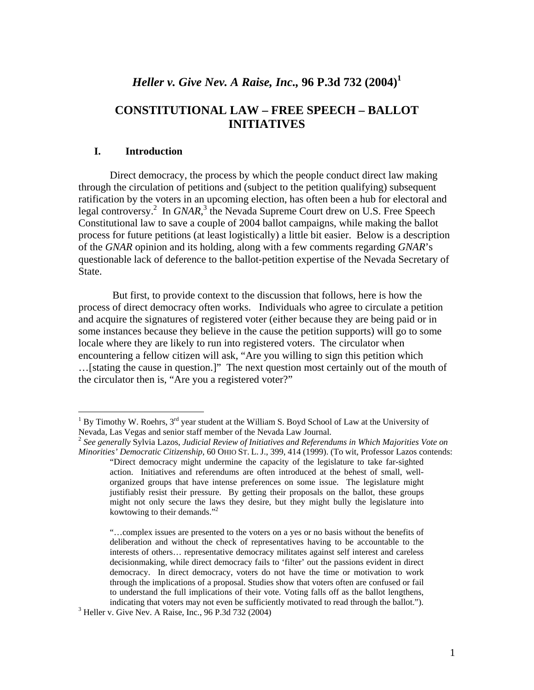## *Heller v. Give Nev. A Raise, Inc.,* 96 P.3d 732 (2004)<sup>1</sup>

### **CONSTITUTIONAL LAW – FREE SPEECH – BALLOT INITIATIVES**

#### **I. Introduction**

 $\overline{a}$ 

Direct democracy, the process by which the people conduct direct law making through the circulation of petitions and (subject to the petition qualifying) subsequent ratification by the voters in an upcoming election, has often been a hub for electoral and legal controversy.<sup>2</sup> In *GNAR*,<sup>3</sup> the Nevada Supreme Court drew on U.S. Free Speech Constitutional law to save a couple of 2004 ballot campaigns, while making the ballot process for future petitions (at least logistically) a little bit easier. Below is a description of the *GNAR* opinion and its holding, along with a few comments regarding *GNAR*'s questionable lack of deference to the ballot-petition expertise of the Nevada Secretary of State.

 But first, to provide context to the discussion that follows, here is how the process of direct democracy often works. Individuals who agree to circulate a petition and acquire the signatures of registered voter (either because they are being paid or in some instances because they believe in the cause the petition supports) will go to some locale where they are likely to run into registered voters. The circulator when encountering a fellow citizen will ask, "Are you willing to sign this petition which …[stating the cause in question.]" The next question most certainly out of the mouth of the circulator then is, "Are you a registered voter?"

 $1$  By Timothy W. Roehrs,  $3<sup>rd</sup>$  year student at the William S. Boyd School of Law at the University of Nevada, Las Vegas and senior staff member of the Nevada Law Journal.

<sup>2</sup> *See generally* Sylvia Lazos, *Judicial Review of Initiatives and Referendums in Which Majorities Vote on Minorities' Democratic Citizenship*, 60 OHIO ST. L. J., 399, 414 (1999). (To wit, Professor Lazos contends: "Direct democracy might undermine the capacity of the legislature to take far-sighted action. Initiatives and referendums are often introduced at the behest of small, well-

organized groups that have intense preferences on some issue. The legislature might justifiably resist their pressure. By getting their proposals on the ballot, these groups might not only secure the laws they desire, but they might bully the legislature into kowtowing to their demands."<sup>2</sup>

<sup>&</sup>quot;…complex issues are presented to the voters on a yes or no basis without the benefits of deliberation and without the check of representatives having to be accountable to the interests of others… representative democracy militates against self interest and careless decisionmaking, while direct democracy fails to 'filter' out the passions evident in direct democracy. In direct democracy, voters do not have the time or motivation to work through the implications of a proposal. Studies show that voters often are confused or fail to understand the full implications of their vote. Voting falls off as the ballot lengthens, indicating that voters may not even be sufficiently motivated to read through the ballot.").

 $3$  Heller v. Give Nev. A Raise, Inc., 96 P.3d 732 (2004)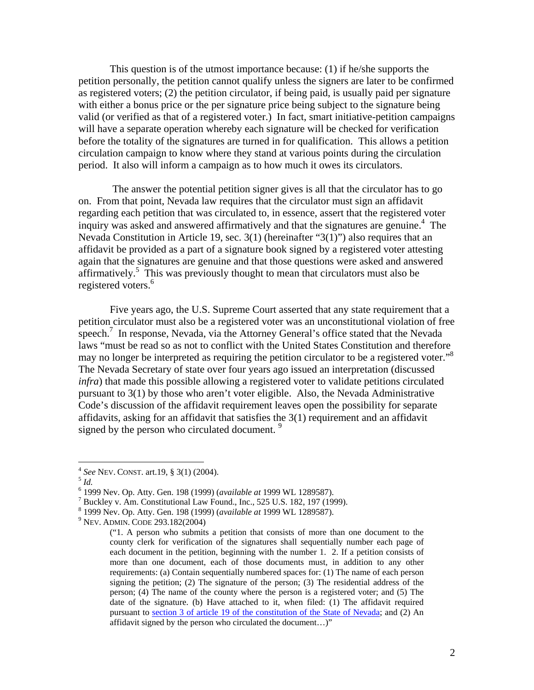This question is of the utmost importance because: (1) if he/she supports the petition personally, the petition cannot qualify unless the signers are later to be confirmed as registered voters; (2) the petition circulator, if being paid, is usually paid per signature with either a bonus price or the per signature price being subject to the signature being valid (or verified as that of a registered voter.) In fact, smart initiative-petition campaigns will have a separate operation whereby each signature will be checked for verification before the totality of the signatures are turned in for qualification. This allows a petition circulation campaign to know where they stand at various points during the circulation period. It also will inform a campaign as to how much it owes its circulators.

 The answer the potential petition signer gives is all that the circulator has to go on. From that point, Nevada law requires that the circulator must sign an affidavit regarding each petition that was circulated to, in essence, assert that the registered voter inquiry was asked and answered affirmatively and that the signatures are genuine.<sup>4</sup> The Nevada Constitution in Article 19, sec. 3(1) (hereinafter "3(1)") also requires that an affidavit be provided as a part of a signature book signed by a registered voter attesting again that the signatures are genuine and that those questions were asked and answered affirmatively.<sup>5</sup> This was previously thought to mean that circulators must also be registered voters.<sup>6</sup>

Five years ago, the U.S. Supreme Court asserted that any state requirement that a petition circulator must also be a registered voter was an unconstitutional violation of free speech.<sup>7</sup> In response, Nevada, via the Attorney General's office stated that the Nevada laws "must be read so as not to conflict with the United States Constitution and therefore may no longer be interpreted as requiring the petition circulator to be a registered voter."<sup>8</sup> The Nevada Secretary of state over four years ago issued an interpretation (discussed *infra*) that made this possible allowing a registered voter to validate petitions circulated pursuant to 3(1) by those who aren't voter eligible. Also, the Nevada Administrative Code's discussion of the affidavit requirement leaves open the possibility for separate affidavits, asking for an affidavit that satisfies the 3(1) requirement and an affidavit signed by the person who circulated document.<sup>9</sup>

<sup>4</sup> *See* NEV. CONST. art.19, § 3(1) (2004). 5 *Id.* 

<sup>6</sup> 1999 Nev. Op. Atty. Gen. 198 (1999) (*available at* 1999 WL 1289587). 7

Buckley v. Am. Constitutional Law Found., Inc., 525 U.S. 182, 197 (1999).

<sup>8</sup> 1999 Nev. Op. Atty. Gen. 198 (1999) (*available at* 1999 WL 1289587). 9

<sup>&</sup>lt;sup>9</sup> Nev. Admin. Code 293.182(2004)

<sup>(&</sup>quot;1. A person who submits a petition that consists of more than one document to the county clerk for verification of the signatures shall sequentially number each page of each document in the petition, beginning with the number 1. 2. If a petition consists of more than one document, each of those documents must, in addition to any other requirements: (a) Contain sequentially numbered spaces for: (1) The name of each person signing the petition; (2) The signature of the person; (3) The residential address of the person; (4) The name of the county where the person is a registered voter; and (5) The date of the signature. (b) Have attached to it, when filed: (1) The affidavit required pursuant to section 3 of article 19 of the constitution of the State of Nevada; and (2) An affidavit signed by the person who circulated the document…)"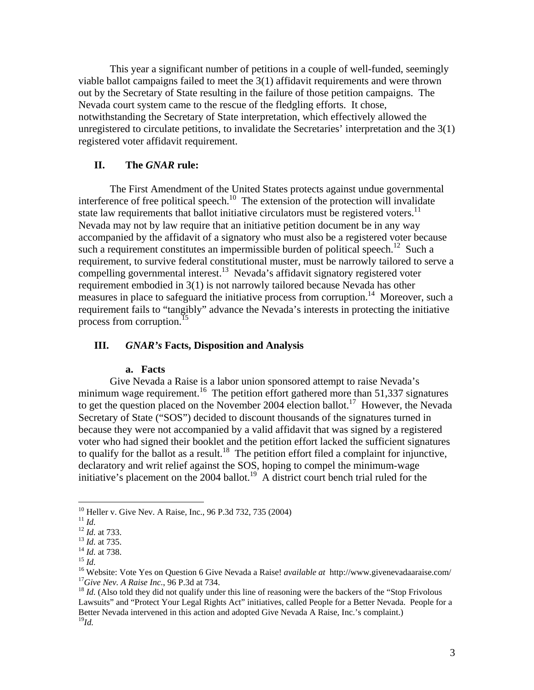This year a significant number of petitions in a couple of well-funded, seemingly viable ballot campaigns failed to meet the 3(1) affidavit requirements and were thrown out by the Secretary of State resulting in the failure of those petition campaigns. The Nevada court system came to the rescue of the fledgling efforts. It chose, notwithstanding the Secretary of State interpretation, which effectively allowed the unregistered to circulate petitions, to invalidate the Secretaries' interpretation and the 3(1) registered voter affidavit requirement.

#### **II. The** *GNAR* **rule:**

The First Amendment of the United States protects against undue governmental interference of free political speech.<sup>10</sup> The extension of the protection will invalidate state law requirements that ballot initiative circulators must be registered voters.<sup>11</sup> Nevada may not by law require that an initiative petition document be in any way accompanied by the affidavit of a signatory who must also be a registered voter because such a requirement constitutes an impermissible burden of political speech.<sup>12</sup> Such a requirement, to survive federal constitutional muster, must be narrowly tailored to serve a compelling governmental interest.<sup>13</sup> Nevada's affidavit signatory registered voter requirement embodied in 3(1) is not narrowly tailored because Nevada has other measures in place to safeguard the initiative process from corruption.<sup>14</sup> Moreover, such a requirement fails to "tangibly" advance the Nevada's interests in protecting the initiative process from corruption.<sup>15</sup>

#### **III.** *GNAR's* **Facts, Disposition and Analysis**

#### **a. Facts**

Give Nevada a Raise is a labor union sponsored attempt to raise Nevada's minimum wage requirement.<sup>16</sup> The petition effort gathered more than 51,337 signatures to get the question placed on the November 2004 election ballot.<sup>17</sup> However, the Nevada Secretary of State ("SOS") decided to discount thousands of the signatures turned in because they were not accompanied by a valid affidavit that was signed by a registered voter who had signed their booklet and the petition effort lacked the sufficient signatures to qualify for the ballot as a result.<sup>18</sup> The petition effort filed a complaint for injunctive, declaratory and writ relief against the SOS, hoping to compel the minimum-wage initiative's placement on the 2004 ballot.<sup>19</sup> A district court bench trial ruled for the

<sup>&</sup>lt;sup>10</sup> Heller v. Give Nev. A Raise, Inc., 96 P.3d 732, 735 (2004)

<sup>&</sup>lt;sup>11</sup> *Id.*<br><sup>12</sup> *Id.* at 733.<br><sup>13</sup> *Id.* at 735.<br><sup>14</sup> *Id.* at 738.<br><sup>15</sup> *Id.*<br><sup>16</sup> Website: Vote Yes on Question 6 Give Nevada a Raise! *available at http://www.givenevadaaraise.com/*<br><sup>17</sup> *Give Nev. A Raise Inc.*, 96 P.

Lawsuits" and "Protect Your Legal Rights Act" initiatives, called People for a Better Nevada. People for a Better Nevada intervened in this action and adopted Give Nevada A Raise, Inc.'s complaint.) <sup>19</sup>*Id.*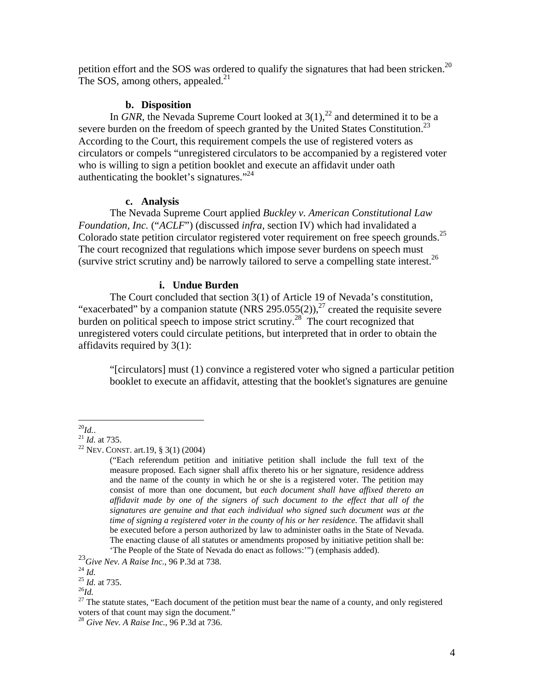petition effort and the SOS was ordered to qualify the signatures that had been stricken.<sup>20</sup> The SOS, among others, appealed. $^{21}$ 

#### **b. Disposition**

In *GNR*, the Nevada Supreme Court looked at  $3(1)$ ,  $^{22}$  and determined it to be a severe burden on the freedom of speech granted by the United States Constitution.<sup>23</sup> According to the Court, this requirement compels the use of registered voters as circulators or compels "unregistered circulators to be accompanied by a registered voter who is willing to sign a petition booklet and execute an affidavit under oath authenticating the booklet's signatures."<sup>24</sup>

#### **c. Analysis**

The Nevada Supreme Court applied *Buckley v. American Constitutional Law Foundation, Inc.* ("*ACLF*") (discussed *infra*, section IV) which had invalidated a Colorado state petition circulator registered voter requirement on free speech grounds.<sup>25</sup> The court recognized that regulations which impose sever burdens on speech must (survive strict scrutiny and) be narrowly tailored to serve a compelling state interest.26

#### **i. Undue Burden**

The Court concluded that section 3(1) of Article 19 of Nevada's constitution, "exacerbated" by a companion statute  $(NRS 295.055(2))$ ,<sup>27</sup> created the requisite severe burden on political speech to impose strict scrutiny.<sup>28</sup> The court recognized that unregistered voters could circulate petitions, but interpreted that in order to obtain the affidavits required by 3(1):

"[circulators] must (1) convince a registered voter who signed a particular petition booklet to execute an affidavit, attesting that the booklet's signatures are genuine

 $^{20}Id.$ 

<sup>&</sup>lt;sup>21</sup> *Id.* at 735.<br><sup>22</sup> NEV. CONST. art.19, § 3(1) (2004)

<sup>(&</sup>quot;Each referendum petition and initiative petition shall include the full text of the measure proposed. Each signer shall affix thereto his or her signature, residence address and the name of the county in which he or she is a registered voter. The petition may consist of more than one document, but *each document shall have affixed thereto an affidavit made by one of the signers of such document to the effect that all of the signatures are genuine and that each individual who signed such document was at the time of signing a registered voter in the county of his or her residence*. The affidavit shall be executed before a person authorized by law to administer oaths in the State of Nevada. The enacting clause of all statutes or amendments proposed by initiative petition shall be: 'The People of the State of Nevada do enact as follows:''') (emphasis added).<br>
<sup>23</sup>Give Nev. A Raise Inc., 96 P.3d at 738.

<sup>&</sup>lt;sup>24</sup> *Id.*<br><sup>25</sup> *Id.* at 735. <sup>26</sup>*Id.*<br><sup>25</sup>*Id.* <sup>27</sup> The statute states, "Each document of the petition must bear the name of a county, and only registered <sup>27</sup> voters of that count may sign the document."

<sup>28</sup> *Give Nev. A Raise Inc.*, 96 P.3d at 736.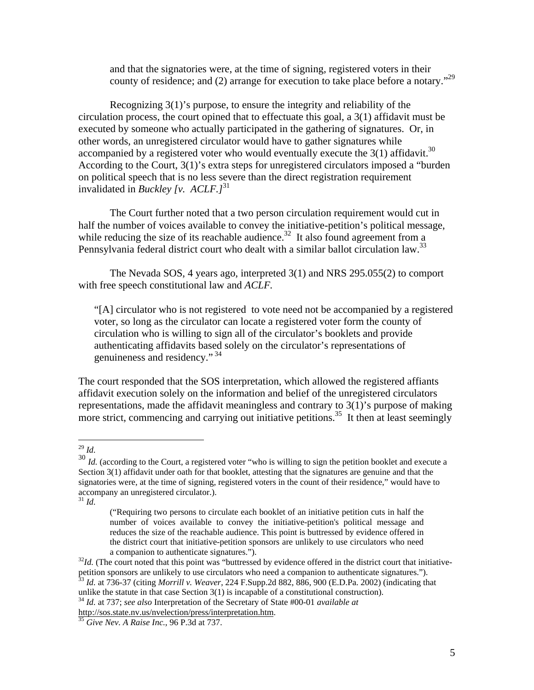and that the signatories were, at the time of signing, registered voters in their county of residence; and (2) arrange for execution to take place before a notary."29

Recognizing 3(1)'s purpose, to ensure the integrity and reliability of the circulation process, the court opined that to effectuate this goal, a 3(1) affidavit must be executed by someone who actually participated in the gathering of signatures. Or, in other words, an unregistered circulator would have to gather signatures while accompanied by a registered voter who would eventually execute the  $3(1)$  affidavit.<sup>30</sup> According to the Court, 3(1)'s extra steps for unregistered circulators imposed a "burden on political speech that is no less severe than the direct registration requirement invalidated in *Buckley [v. ACLF.]*<sup>31</sup>

The Court further noted that a two person circulation requirement would cut in half the number of voices available to convey the initiative-petition's political message, while reducing the size of its reachable audience.<sup>32</sup> It also found agreement from a Pennsylvania federal district court who dealt with a similar ballot circulation law.<sup>33</sup>

The Nevada SOS, 4 years ago, interpreted 3(1) and NRS 295.055(2) to comport with free speech constitutional law and *ACLF.* 

"[A] circulator who is not registered to vote need not be accompanied by a registered voter, so long as the circulator can locate a registered voter form the county of circulation who is willing to sign all of the circulator's booklets and provide authenticating affidavits based solely on the circulator's representations of genuineness and residency." <sup>34</sup>

The court responded that the SOS interpretation, which allowed the registered affiants affidavit execution solely on the information and belief of the unregistered circulators representations, made the affidavit meaningless and contrary to 3(1)'s purpose of making more strict, commencing and carrying out initiative petitions.<sup>35</sup> It then at least seemingly

<sup>31</sup> *Id.*

 $^{29}$  Id.

<sup>&</sup>lt;sup>30</sup> *Id.* (according to the Court, a registered voter "who is willing to sign the petition booklet and execute a Section 3(1) affidavit under oath for that booklet, attesting that the signatures are genuine and that the signatories were, at the time of signing, registered voters in the count of their residence," would have to accompany an unregistered circulator.).

<sup>(&</sup>quot;Requiring two persons to circulate each booklet of an initiative petition cuts in half the number of voices available to convey the initiative-petition's political message and reduces the size of the reachable audience. This point is buttressed by evidence offered in the district court that initiative-petition sponsors are unlikely to use circulators who need

a companion to authenticate signatures.").<br><sup>32</sup>*Id.* (The court noted that this point was "buttressed by evidence offered in the district court that initiativepetition sponsors are unlikely to use circulators who need a companion to authenticate signatures.").

<sup>&</sup>lt;sup>33</sup> *Id.* at 736-37 (citing *Morrill v. Weaver*, 224 F.Supp.2d 882, 886, 900 (E.D.Pa. 2002) (indicating that unlike the statute in that case Section 3(1) is incapable of a constitutional construction).

<sup>&</sup>lt;sup>34</sup> Id. at 737; see also Interpretation of the Secretary of State #00-01 *available at* 

http://sos.state.nv.us/nvelection/press/interpretation.htm. 35 *Give Nev. A Raise Inc.*, 96 P.3d at 737.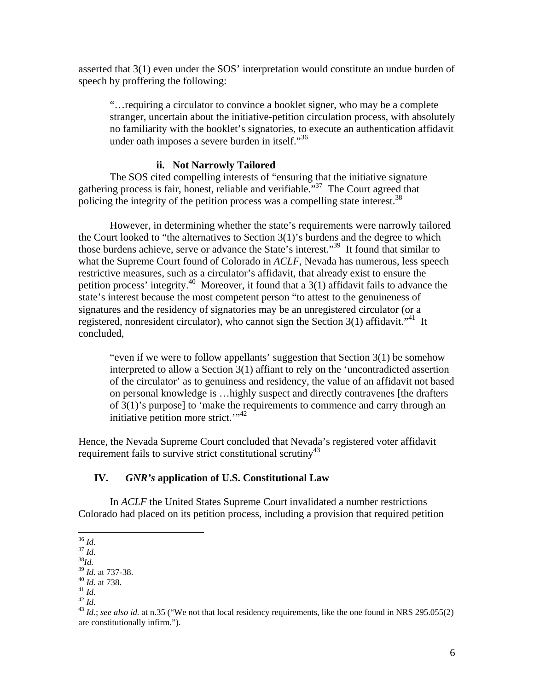asserted that 3(1) even under the SOS' interpretation would constitute an undue burden of speech by proffering the following:

"…requiring a circulator to convince a booklet signer, who may be a complete stranger, uncertain about the initiative-petition circulation process, with absolutely no familiarity with the booklet's signatories, to execute an authentication affidavit under oath imposes a severe burden in itself."<sup>36</sup>

#### **ii. Not Narrowly Tailored**

The SOS cited compelling interests of "ensuring that the initiative signature gathering process is fair, honest, reliable and verifiable."<sup>37</sup> The Court agreed that policing the integrity of the petition process was a compelling state interest.<sup>38</sup>

However, in determining whether the state's requirements were narrowly tailored the Court looked to "the alternatives to Section 3(1)'s burdens and the degree to which those burdens achieve, serve or advance the State's interest."39 It found that similar to what the Supreme Court found of Colorado in *ACLF*, Nevada has numerous, less speech restrictive measures, such as a circulator's affidavit, that already exist to ensure the petition process' integrity.<sup>40</sup> Moreover, it found that a  $3(1)$  affidavit fails to advance the state's interest because the most competent person "to attest to the genuineness of signatures and the residency of signatories may be an unregistered circulator (or a registered, nonresident circulator), who cannot sign the Section  $3(1)$  affidavit."<sup>41</sup> It concluded,

"even if we were to follow appellants' suggestion that Section 3(1) be somehow interpreted to allow a Section 3(1) affiant to rely on the 'uncontradicted assertion of the circulator' as to genuiness and residency, the value of an affidavit not based on personal knowledge is …highly suspect and directly contravenes [the drafters of 3(1)'s purpose] to 'make the requirements to commence and carry through an initiative petition more strict."<sup>42</sup>

Hence, the Nevada Supreme Court concluded that Nevada's registered voter affidavit requirement fails to survive strict constitutional scrutiny<sup>43</sup>

#### **IV.** *GNR's* **application of U.S. Constitutional Law**

In *ACLF* the United States Supreme Court invalidated a number restrictions Colorado had placed on its petition process, including a provision that required petition

 $36$  Id.

 $rac{37}{38}$ *Id.*  $rac{38}{1}$ *Id.* 

<sup>&</sup>lt;sup>39</sup> *Id.* at 737-38.<br><sup>40</sup> *Id.* at 738.<br><sup>42</sup> *Id.*<br><sup>43</sup> *Id.*; *see also id.* at n.35 ("We not that local residency requirements, like the one found in NRS 295.055(2) are constitutionally infirm.").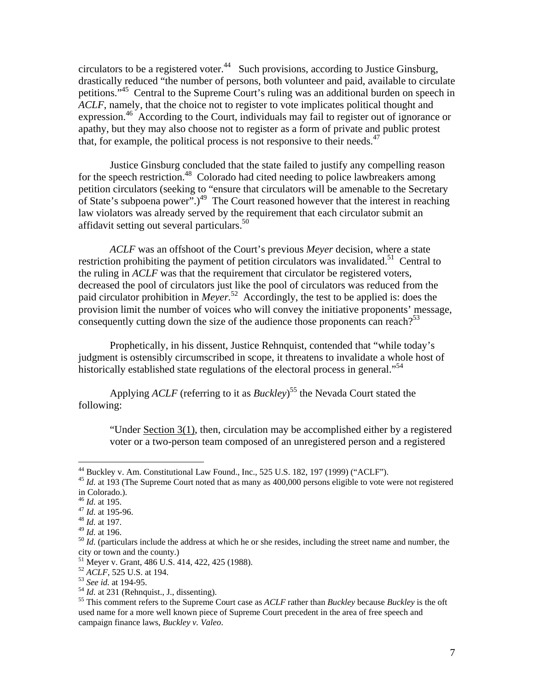circulators to be a registered voter.<sup>44</sup> Such provisions, according to Justice Ginsburg, drastically reduced "the number of persons, both volunteer and paid, available to circulate petitions.<sup>545</sup> Central to the Supreme Court's ruling was an additional burden on speech in *ACLF*, namely, that the choice not to register to vote implicates political thought and expression.<sup>46</sup> According to the Court, individuals may fail to register out of ignorance or apathy, but they may also choose not to register as a form of private and public protest that, for example, the political process is not responsive to their needs.<sup>47</sup>

Justice Ginsburg concluded that the state failed to justify any compelling reason for the speech restriction.<sup>48</sup> Colorado had cited needing to police lawbreakers among petition circulators (seeking to "ensure that circulators will be amenable to the Secretary of State's subpoena power".)<sup>49</sup> The Court reasoned however that the interest in reaching law violators was already served by the requirement that each circulator submit an affidavit setting out several particulars.<sup>50</sup>

*ACLF* was an offshoot of the Court's previous *Meyer* decision, where a state restriction prohibiting the payment of petition circulators was invalidated.<sup>51</sup> Central to the ruling in *ACLF* was that the requirement that circulator be registered voters, decreased the pool of circulators just like the pool of circulators was reduced from the paid circulator prohibition in *Meyer.*52 Accordingly, the test to be applied is: does the provision limit the number of voices who will convey the initiative proponents' message, consequently cutting down the size of the audience those proponents can reach?<sup>53</sup>

Prophetically, in his dissent, Justice Rehnquist, contended that "while today's judgment is ostensibly circumscribed in scope, it threatens to invalidate a whole host of historically established state regulations of the electoral process in general."<sup>54</sup>

Applying *ACLF* (referring to it as *Buckley*) <sup>55</sup> the Nevada Court stated the following:

"Under Section 3(1), then, circulation may be accomplished either by a registered voter or a two-person team composed of an unregistered person and a registered

<sup>&</sup>lt;sup>44</sup> Buckley v. Am. Constitutional Law Found., Inc., 525 U.S. 182, 197 (1999) ("ACLF").<br><sup>45</sup> *Id.* at 193 (The Supreme Court noted that as many as 400,000 persons eligible to vote were not registered in Colorado.).

<sup>46</sup> *Id.* at 195. 47 *Id.* at 195-96. 48 *Id.* at 197.

<sup>&</sup>lt;sup>49</sup> *Id.* at 196.<br><sup>50</sup> *Id.* (particulars include the address at which he or she resides, including the street name and number, the city or town and the county.)

<sup>&</sup>lt;sup>51</sup> Meyer v. Grant, 486 U.S. 414, 422, 425 (1988).<br><sup>52</sup> ACLF, 525 U.S. at 194.

<sup>&</sup>lt;sup>53</sup> See id. at 194-95.<br><sup>54</sup> Id. at 231 (Rehnquist., J., dissenting).<br><sup>55</sup> This comment refers to the Supreme Court case as *ACLF* rather than *Buckley* because *Buckley* is the oft used name for a more well known piece of Supreme Court precedent in the area of free speech and campaign finance laws, *Buckley v. Valeo*.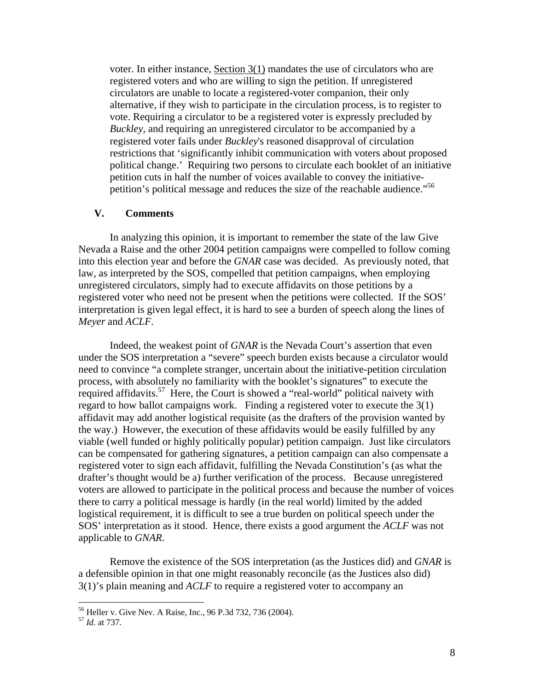voter. In either instance, Section 3(1) mandates the use of circulators who are registered voters and who are willing to sign the petition. If unregistered circulators are unable to locate a registered-voter companion, their only alternative, if they wish to participate in the circulation process, is to register to vote. Requiring a circulator to be a registered voter is expressly precluded by *Buckley,* and requiring an unregistered circulator to be accompanied by a registered voter fails under *Buckley*'s reasoned disapproval of circulation restrictions that 'significantly inhibit communication with voters about proposed political change.' Requiring two persons to circulate each booklet of an initiative petition cuts in half the number of voices available to convey the initiativepetition's political message and reduces the size of the reachable audience."56

#### **V. Comments**

In analyzing this opinion, it is important to remember the state of the law Give Nevada a Raise and the other 2004 petition campaigns were compelled to follow coming into this election year and before the *GNAR* case was decided. As previously noted, that law, as interpreted by the SOS, compelled that petition campaigns, when employing unregistered circulators, simply had to execute affidavits on those petitions by a registered voter who need not be present when the petitions were collected. If the SOS' interpretation is given legal effect, it is hard to see a burden of speech along the lines of *Meyer* and *ACLF*.

Indeed, the weakest point of *GNAR* is the Nevada Court's assertion that even under the SOS interpretation a "severe" speech burden exists because a circulator would need to convince "a complete stranger, uncertain about the initiative-petition circulation process, with absolutely no familiarity with the booklet's signatures" to execute the required affidavits.<sup>57</sup> Here, the Court is showed a "real-world" political naivety with regard to how ballot campaigns work. Finding a registered voter to execute the 3(1) affidavit may add another logistical requisite (as the drafters of the provision wanted by the way.) However, the execution of these affidavits would be easily fulfilled by any viable (well funded or highly politically popular) petition campaign. Just like circulators can be compensated for gathering signatures, a petition campaign can also compensate a registered voter to sign each affidavit, fulfilling the Nevada Constitution's (as what the drafter's thought would be a) further verification of the process. Because unregistered voters are allowed to participate in the political process and because the number of voices there to carry a political message is hardly (in the real world) limited by the added logistical requirement, it is difficult to see a true burden on political speech under the SOS' interpretation as it stood. Hence, there exists a good argument the *ACLF* was not applicable to *GNAR*.

Remove the existence of the SOS interpretation (as the Justices did) and *GNAR* is a defensible opinion in that one might reasonably reconcile (as the Justices also did) 3(1)'s plain meaning and *ACLF* to require a registered voter to accompany an

<sup>56</sup> Heller v. Give Nev. A Raise, Inc., 96 P.3d 732, 736 (2004).

<sup>57</sup> *Id.* at 737.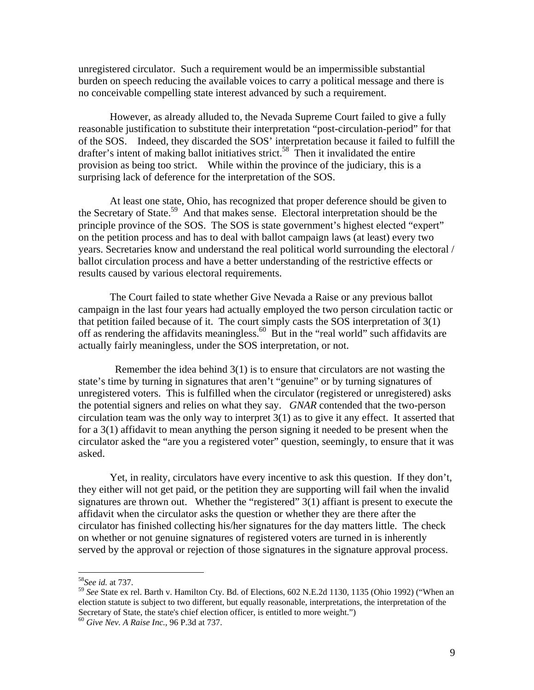unregistered circulator. Such a requirement would be an impermissible substantial burden on speech reducing the available voices to carry a political message and there is no conceivable compelling state interest advanced by such a requirement.

However, as already alluded to, the Nevada Supreme Court failed to give a fully reasonable justification to substitute their interpretation "post-circulation-period" for that of the SOS. Indeed, they discarded the SOS' interpretation because it failed to fulfill the drafter's intent of making ballot initiatives strict.<sup>58</sup> Then it invalidated the entire provision as being too strict. While within the province of the judiciary, this is a surprising lack of deference for the interpretation of the SOS.

At least one state, Ohio, has recognized that proper deference should be given to the Secretary of State.<sup>59</sup> And that makes sense. Electoral interpretation should be the principle province of the SOS. The SOS is state government's highest elected "expert" on the petition process and has to deal with ballot campaign laws (at least) every two years. Secretaries know and understand the real political world surrounding the electoral / ballot circulation process and have a better understanding of the restrictive effects or results caused by various electoral requirements.

The Court failed to state whether Give Nevada a Raise or any previous ballot campaign in the last four years had actually employed the two person circulation tactic or that petition failed because of it. The court simply casts the SOS interpretation of 3(1) off as rendering the affidavits meaningless.<sup>60</sup> But in the "real world" such affidavits are actually fairly meaningless, under the SOS interpretation, or not.

 Remember the idea behind 3(1) is to ensure that circulators are not wasting the state's time by turning in signatures that aren't "genuine" or by turning signatures of unregistered voters. This is fulfilled when the circulator (registered or unregistered) asks the potential signers and relies on what they say. *GNAR* contended that the two-person circulation team was the only way to interpret  $3(1)$  as to give it any effect. It asserted that for a 3(1) affidavit to mean anything the person signing it needed to be present when the circulator asked the "are you a registered voter" question, seemingly, to ensure that it was asked.

Yet, in reality, circulators have every incentive to ask this question. If they don't, they either will not get paid, or the petition they are supporting will fail when the invalid signatures are thrown out. Whether the "registered" 3(1) affiant is present to execute the affidavit when the circulator asks the question or whether they are there after the circulator has finished collecting his/her signatures for the day matters little. The check on whether or not genuine signatures of registered voters are turned in is inherently served by the approval or rejection of those signatures in the signature approval process.

<sup>58</sup>*See id.* at 737.

<sup>59</sup> *See* State ex rel. Barth v. Hamilton Cty. Bd. of Elections, 602 N.E.2d 1130, 1135 (Ohio 1992) ("When an election statute is subject to two different, but equally reasonable, interpretations, the interpretation of the Secretary of State, the state's chief election officer, is entitled to more weight.") <sup>60</sup> *Give Nev. A Raise Inc.*, 96 P.3d at 737.